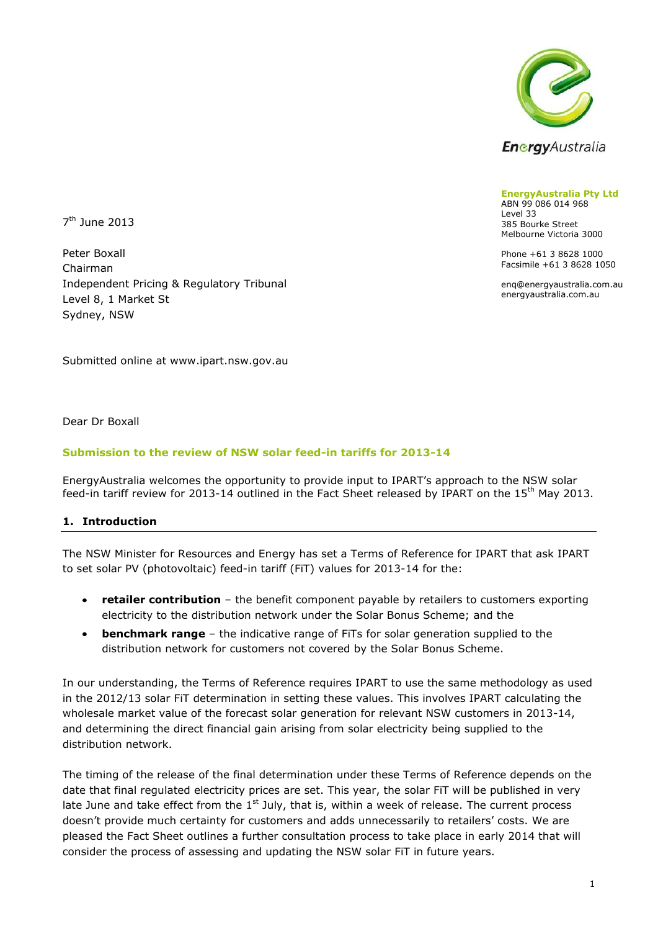

**EnergyAustralia Pty Ltd** ABN 99 086 014 968 Level 33 385 Bourke Street Melbourne Victoria 3000

Phone +61 3 8628 1000 Facsimile +61 3 8628 1050

enq@energyaustralia.com.au energyaustralia.com.au

7 th June 2013

Peter Boxall Chairman Independent Pricing & Regulatory Tribunal Level 8, 1 Market St Sydney, NSW

Submitted online at www.ipart.nsw.gov.au

Dear Dr Boxall

## **Submission to the review of NSW solar feed-in tariffs for 2013-14**

EnergyAustralia welcomes the opportunity to provide input to IPART's approach to the NSW solar feed-in tariff review for 2013-14 outlined in the Fact Sheet released by IPART on the  $15<sup>th</sup>$  May 2013.

## **1. Introduction**

The NSW Minister for Resources and Energy has set a Terms of Reference for IPART that ask IPART to set solar PV (photovoltaic) feed-in tariff (FiT) values for 2013-14 for the:

- **retailer contribution**  the benefit component payable by retailers to customers exporting  $\bullet$ electricity to the distribution network under the Solar Bonus Scheme; and the
- **benchmark range** the indicative range of FiTs for solar generation supplied to the distribution network for customers not covered by the Solar Bonus Scheme.

In our understanding, the Terms of Reference requires IPART to use the same methodology as used in the 2012/13 solar FiT determination in setting these values. This involves IPART calculating the wholesale market value of the forecast solar generation for relevant NSW customers in 2013-14, and determining the direct financial gain arising from solar electricity being supplied to the distribution network.

The timing of the release of the final determination under these Terms of Reference depends on the date that final regulated electricity prices are set. This year, the solar FiT will be published in very late June and take effect from the  $1<sup>st</sup>$  July, that is, within a week of release. The current process doesn't provide much certainty for customers and adds unnecessarily to retailers' costs. We are pleased the Fact Sheet outlines a further consultation process to take place in early 2014 that will consider the process of assessing and updating the NSW solar FiT in future years.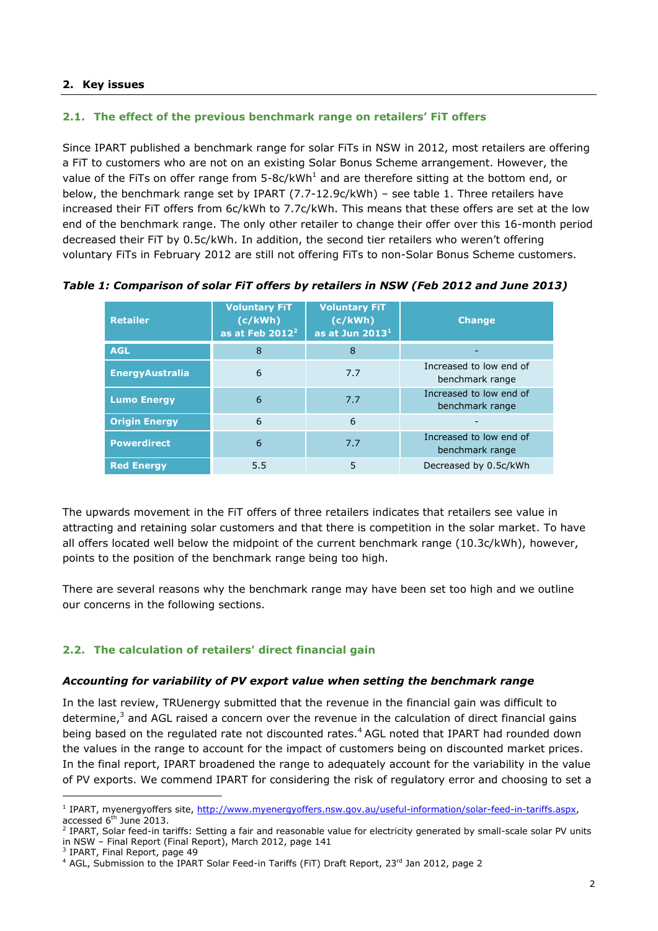## **2. Key issues**

## **2.1. The effect of the previous benchmark range on retailers' FiT offers**

Since IPART published a benchmark range for solar FiTs in NSW in 2012, most retailers are offering a FiT to customers who are not on an existing Solar Bonus Scheme arrangement. However, the value of the FiTs on offer range from  $5$ -8c/kWh<sup>1</sup> and are therefore sitting at the bottom end, or below, the benchmark range set by IPART (7.7-12.9c/kWh) – see table 1. Three retailers have increased their FiT offers from 6c/kWh to 7.7c/kWh. This means that these offers are set at the low end of the benchmark range. The only other retailer to change their offer over this 16-month period decreased their FiT by 0.5c/kWh. In addition, the second tier retailers who weren't offering voluntary FiTs in February 2012 are still not offering FiTs to non-Solar Bonus Scheme customers.

<span id="page-1-0"></span>

| <b>Retailer</b>        | <b>Voluntary FiT</b><br>(c/kWh)<br>as at Feb $2012^2$ | <b>Voluntary FiT</b><br>(c/kWh)<br>as at Jun 2013 <sup>1</sup> | <b>Change</b>                              |
|------------------------|-------------------------------------------------------|----------------------------------------------------------------|--------------------------------------------|
| <b>AGL</b>             | 8                                                     | 8                                                              |                                            |
| <b>EnergyAustralia</b> | 6                                                     | 7.7                                                            | Increased to low end of<br>benchmark range |
| <b>Lumo Energy</b>     | 6                                                     | 7.7                                                            | Increased to low end of<br>benchmark range |
| <b>Origin Energy</b>   | 6                                                     | 6                                                              |                                            |
| <b>Powerdirect</b>     | 6                                                     | 7.7                                                            | Increased to low end of<br>benchmark range |
| <b>Red Energy</b>      | 5.5                                                   | 5                                                              | Decreased by 0.5c/kWh                      |

*Table 1: Comparison of solar FiT offers by retailers in NSW (Feb 2012 and June 2013)*

The upwards movement in the FiT offers of three retailers indicates that retailers see value in attracting and retaining solar customers and that there is competition in the solar market. To have all offers located well below the midpoint of the current benchmark range (10.3c/kWh), however, points to the position of the benchmark range being too high.

There are several reasons why the benchmark range may have been set too high and we outline our concerns in the following sections.

## **2.2. The calculation of retailers' direct financial gain**

#### *Accounting for variability of PV export value when setting the benchmark range*

In the last review, TRUenergy submitted that the revenue in the financial gain was difficult to determine,<sup>3</sup> and AGL raised a concern over the revenue in the calculation of direct financial gains being based on the regulated rate not discounted rates.<sup>4</sup> AGL noted that IPART had rounded down the values in the range to account for the impact of customers being on discounted market prices. In the final report, IPART broadened the range to adequately account for the variability in the value of PV exports. We commend IPART for considering the risk of regulatory error and choosing to set a

<sup>&</sup>lt;sup>1</sup> IPART, myenergyoffers site, [http://www.myenergyoffers.nsw.gov.au/useful-information/solar-feed-in-tariffs.aspx,](http://www.myenergyoffers.nsw.gov.au/useful-information/solar-feed-in-tariffs.aspx) accessed  $6<sup>th</sup>$  June 2013.

<sup>&</sup>lt;sup>2</sup> IPART, Solar feed-in tariffs: Setting a fair and reasonable value for electricity generated by small-scale solar PV units in NSW – Final Report (Final Report), March 2012, page 141

<sup>&</sup>lt;sup>3</sup> IPART, Final Report, page 49

<sup>&</sup>lt;sup>4</sup> AGL, Submission to the IPART Solar Feed-in Tariffs (FiT) Draft Report, 23rd Jan 2012, page 2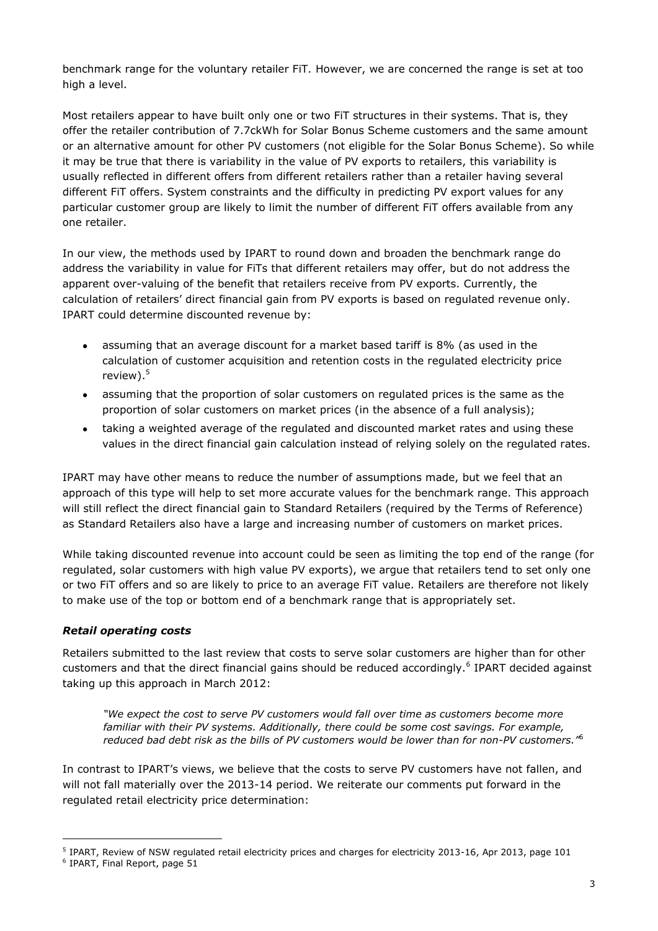benchmark range for the voluntary retailer FiT. However, we are concerned the range is set at too high a level.

Most retailers appear to have built only one or two FiT structures in their systems. That is, they offer the retailer contribution of 7.7ckWh for Solar Bonus Scheme customers and the same amount or an alternative amount for other PV customers (not eligible for the Solar Bonus Scheme). So while it may be true that there is variability in the value of PV exports to retailers, this variability is usually reflected in different offers from different retailers rather than a retailer having several different FiT offers. System constraints and the difficulty in predicting PV export values for any particular customer group are likely to limit the number of different FiT offers available from any one retailer.

In our view, the methods used by IPART to round down and broaden the benchmark range do address the variability in value for FiTs that different retailers may offer, but do not address the apparent over-valuing of the benefit that retailers receive from PV exports. Currently, the calculation of retailers' direct financial gain from PV exports is based on regulated revenue only. IPART could determine discounted revenue by:

- assuming that an average discount for a market based tariff is 8% (as used in the  $\bullet$ calculation of customer acquisition and retention costs in the regulated electricity price review). $5$
- $\bullet$ assuming that the proportion of solar customers on regulated prices is the same as the proportion of solar customers on market prices (in the absence of a full analysis);
- taking a weighted average of the regulated and discounted market rates and using these  $\bullet$ values in the direct financial gain calculation instead of relying solely on the regulated rates.

IPART may have other means to reduce the number of assumptions made, but we feel that an approach of this type will help to set more accurate values for the benchmark range. This approach will still reflect the direct financial gain to Standard Retailers (required by the Terms of Reference) as Standard Retailers also have a large and increasing number of customers on market prices.

While taking discounted revenue into account could be seen as limiting the top end of the range (for regulated, solar customers with high value PV exports), we argue that retailers tend to set only one or two FiT offers and so are likely to price to an average FiT value. Retailers are therefore not likely to make use of the top or bottom end of a benchmark range that is appropriately set.

## *Retail operating costs*

Retailers submitted to the last review that costs to serve solar customers are higher than for other customers and that the direct financial gains should be reduced accordingly.<sup>6</sup> IPART decided against taking up this approach in March 2012:

<span id="page-2-0"></span>*"We expect the cost to serve PV customers would fall over time as customers become more familiar with their PV systems. Additionally, there could be some cost savings. For example, reduced bad debt risk as the bills of PV customers would be lower than for non-PV customers."*[6](#page-2-0)

In contrast to IPART's views, we believe that the costs to serve PV customers have not fallen, and will not fall materially over the 2013-14 period. We reiterate our comments put forward in the regulated retail electricity price determination:

<sup>&</sup>lt;sup>5</sup> IPART, Review of NSW regulated retail electricity prices and charges for electricity 2013-16, Apr 2013, page 101

<sup>&</sup>lt;sup>6</sup> IPART, Final Report, page 51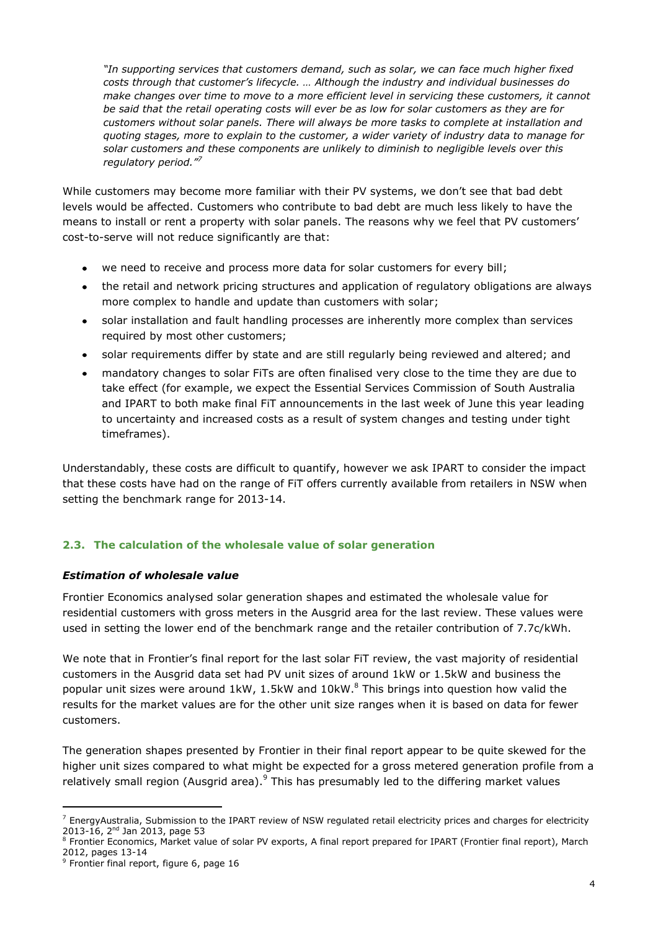*"In supporting services that customers demand, such as solar, we can face much higher fixed costs through that customer's lifecycle. … Although the industry and individual businesses do make changes over time to move to a more efficient level in servicing these customers, it cannot be said that the retail operating costs will ever be as low for solar customers as they are for customers without solar panels. There will always be more tasks to complete at installation and quoting stages, more to explain to the customer, a wider variety of industry data to manage for solar customers and these components are unlikely to diminish to negligible levels over this regulatory period." 7*

While customers may become more familiar with their PV systems, we don't see that bad debt levels would be affected. Customers who contribute to bad debt are much less likely to have the means to install or rent a property with solar panels. The reasons why we feel that PV customers' cost-to-serve will not reduce significantly are that:

- we need to receive and process more data for solar customers for every bill;  $\bullet$
- the retail and network pricing structures and application of regulatory obligations are always  $\bullet$ more complex to handle and update than customers with solar;
- solar installation and fault handling processes are inherently more complex than services  $\bullet$ required by most other customers;
- solar requirements differ by state and are still regularly being reviewed and altered; and  $\bullet$
- mandatory changes to solar FiTs are often finalised very close to the time they are due to take effect (for example, we expect the Essential Services Commission of South Australia and IPART to both make final FiT announcements in the last week of June this year leading to uncertainty and increased costs as a result of system changes and testing under tight timeframes).

Understandably, these costs are difficult to quantify, however we ask IPART to consider the impact that these costs have had on the range of FiT offers currently available from retailers in NSW when setting the benchmark range for 2013-14.

## **2.3. The calculation of the wholesale value of solar generation**

## *Estimation of wholesale value*

Frontier Economics analysed solar generation shapes and estimated the wholesale value for residential customers with gross meters in the Ausgrid area for the last review. These values were used in setting the lower end of the benchmark range and the retailer contribution of 7.7c/kWh.

We note that in Frontier's final report for the last solar FiT review, the vast majority of residential customers in the Ausgrid data set had PV unit sizes of around 1kW or 1.5kW and business the popular unit sizes were around  $1kW$ ,  $1.5kW$  and  $10kW$ .<sup>8</sup> This brings into question how valid the results for the market values are for the other unit size ranges when it is based on data for fewer customers.

The generation shapes presented by Frontier in their final report appear to be quite skewed for the higher unit sizes compared to what might be expected for a gross metered generation profile from a relatively small region (Ausgrid area). $9$  This has presumably led to the differing market values

 $<sup>7</sup>$  EnergyAustralia, Submission to the IPART review of NSW regulated retail electricity prices and charges for electricity</sup> 2013-16, 2<sup>nd</sup> Jan 2013, page 53

<sup>&</sup>lt;sup>8</sup> Frontier Economics, Market value of solar PV exports, A final report prepared for IPART (Frontier final report), March 2012, pages 13-14

<sup>&</sup>lt;sup>9</sup> Frontier final report, figure 6, page 16